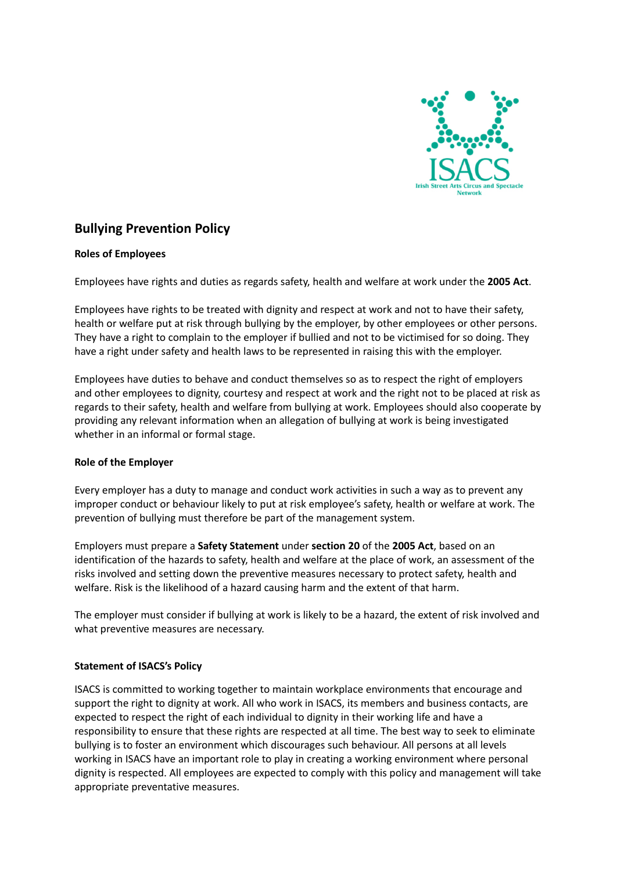

# **Bullying Prevention Policy**

## **Roles of Employees**

Employees have rights and duties as regards safety, health and welfare at work under the **2005 Act**.

Employees have rights to be treated with dignity and respect at work and not to have their safety, health or welfare put at risk through bullying by the employer, by other employees or other persons. They have a right to complain to the employer if bullied and not to be victimised for so doing. They have a right under safety and health laws to be represented in raising this with the employer.

Employees have duties to behave and conduct themselves so as to respect the right of employers and other employees to dignity, courtesy and respect at work and the right not to be placed at risk as regards to their safety, health and welfare from bullying at work. Employees should also cooperate by providing any relevant information when an allegation of bullying at work is being investigated whether in an informal or formal stage.

## **Role of the Employer**

Every employer has a duty to manage and conduct work activities in such a way as to prevent any improper conduct or behaviour likely to put at risk employee's safety, health or welfare at work. The prevention of bullying must therefore be part of the management system.

Employers must prepare a **Safety Statement** under **section 20** of the **2005 Act**, based on an identification of the hazards to safety, health and welfare at the place of work, an assessment of the risks involved and setting down the preventive measures necessary to protect safety, health and welfare. Risk is the likelihood of a hazard causing harm and the extent of that harm.

The employer must consider if bullying at work is likely to be a hazard, the extent of risk involved and what preventive measures are necessary.

## **Statement of ISACS's Policy**

ISACS is committed to working together to maintain workplace environments that encourage and support the right to dignity at work. All who work in ISACS, its members and business contacts, are expected to respect the right of each individual to dignity in their working life and have a responsibility to ensure that these rights are respected at all time. The best way to seek to eliminate bullying is to foster an environment which discourages such behaviour. All persons at all levels working in ISACS have an important role to play in creating a working environment where personal dignity is respected. All employees are expected to comply with this policy and management will take appropriate preventative measures.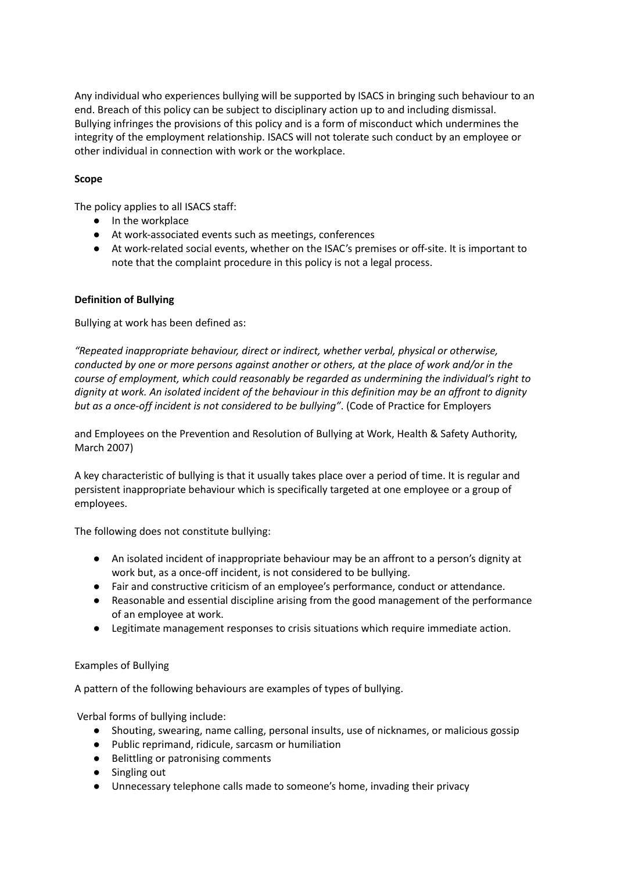Any individual who experiences bullying will be supported by ISACS in bringing such behaviour to an end. Breach of this policy can be subject to disciplinary action up to and including dismissal. Bullying infringes the provisions of this policy and is a form of misconduct which undermines the integrity of the employment relationship. ISACS will not tolerate such conduct by an employee or other individual in connection with work or the workplace.

# **Scope**

The policy applies to all ISACS staff:

- In the workplace
- At work-associated events such as meetings, conferences
- At work-related social events, whether on the ISAC's premises or off-site. It is important to note that the complaint procedure in this policy is not a legal process.

# **Definition of Bullying**

Bullying at work has been defined as:

*"Repeated inappropriate behaviour, direct or indirect, whether verbal, physical or otherwise, conducted by one or more persons against another or others, at the place of work and/or in the course of employment, which could reasonably be regarded as undermining the individual's right to* dignity at work. An isolated incident of the behaviour in this definition may be an affront to dignity *but as a once-off incident is not considered to be bullying"*. (Code of Practice for Employers

and Employees on the Prevention and Resolution of Bullying at Work, Health & Safety Authority, March 2007)

A key characteristic of bullying is that it usually takes place over a period of time. It is regular and persistent inappropriate behaviour which is specifically targeted at one employee or a group of employees.

The following does not constitute bullying:

- An isolated incident of inappropriate behaviour may be an affront to a person's dignity at work but, as a once-off incident, is not considered to be bullying.
- Fair and constructive criticism of an employee's performance, conduct or attendance.
- Reasonable and essential discipline arising from the good management of the performance of an employee at work.
- Legitimate management responses to crisis situations which require immediate action.

## Examples of Bullying

A pattern of the following behaviours are examples of types of bullying.

Verbal forms of bullying include:

- Shouting, swearing, name calling, personal insults, use of nicknames, or malicious gossip
- Public reprimand, ridicule, sarcasm or humiliation
- Belittling or patronising comments
- Singling out
- Unnecessary telephone calls made to someone's home, invading their privacy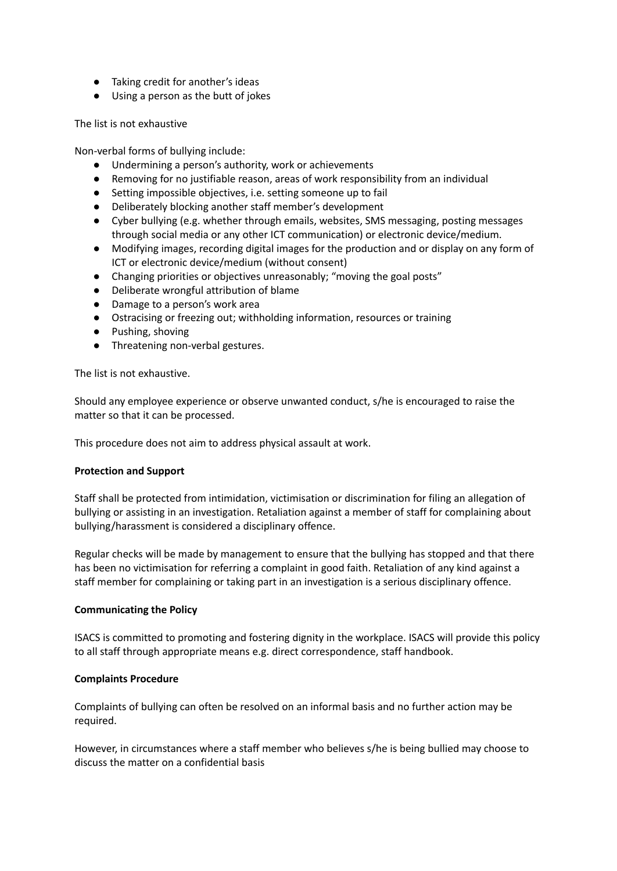- Taking credit for another's ideas
- Using a person as the butt of jokes

The list is not exhaustive

Non-verbal forms of bullying include:

- Undermining a person's authority, work or achievements
- Removing for no justifiable reason, areas of work responsibility from an individual
- Setting impossible objectives, i.e. setting someone up to fail
- Deliberately blocking another staff member's development
- Cyber bullying (e.g. whether through emails, websites, SMS messaging, posting messages through social media or any other ICT communication) or electronic device/medium.
- Modifying images, recording digital images for the production and or display on any form of ICT or electronic device/medium (without consent)
- Changing priorities or objectives unreasonably; "moving the goal posts"
- Deliberate wrongful attribution of blame
- Damage to a person's work area
- Ostracising or freezing out; withholding information, resources or training
- Pushing, shoving
- Threatening non-verbal gestures.

The list is not exhaustive.

Should any employee experience or observe unwanted conduct, s/he is encouraged to raise the matter so that it can be processed.

This procedure does not aim to address physical assault at work.

## **Protection and Support**

Staff shall be protected from intimidation, victimisation or discrimination for filing an allegation of bullying or assisting in an investigation. Retaliation against a member of staff for complaining about bullying/harassment is considered a disciplinary offence.

Regular checks will be made by management to ensure that the bullying has stopped and that there has been no victimisation for referring a complaint in good faith. Retaliation of any kind against a staff member for complaining or taking part in an investigation is a serious disciplinary offence.

## **Communicating the Policy**

ISACS is committed to promoting and fostering dignity in the workplace. ISACS will provide this policy to all staff through appropriate means e.g. direct correspondence, staff handbook.

## **Complaints Procedure**

Complaints of bullying can often be resolved on an informal basis and no further action may be required.

However, in circumstances where a staff member who believes s/he is being bullied may choose to discuss the matter on a confidential basis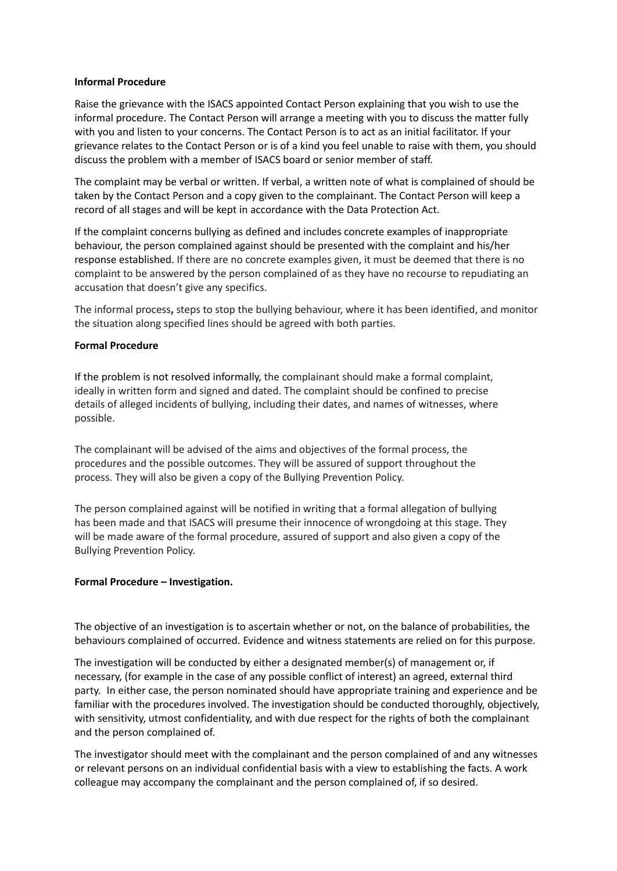#### **Informal Procedure**

Raise the grievance with the ISACS appointed Contact Person explaining that you wish to use the informal procedure. The Contact Person will arrange a meeting with you to discuss the matter fully with you and listen to your concerns. The Contact Person is to act as an initial facilitator. If your grievance relates to the Contact Person or is of a kind you feel unable to raise with them, you should discuss the problem with a member of ISACS board or senior member of staff.

The complaint may be verbal or written. If verbal, a written note of what is complained of should be taken by the Contact Person and a copy given to the complainant. The Contact Person will keep a record of all stages and will be kept in accordance with the Data Protection Act.

If the complaint concerns bullying as defined and includes concrete examples of inappropriate behaviour, the person complained against should be presented with the complaint and his/her response established. If there are no concrete examples given, it must be deemed that there is no complaint to be answered by the person complained of as they have no recourse to repudiating an accusation that doesn't give any specifics.

The informal process**,** steps to stop the bullying behaviour, where it has been identified, and monitor the situation along specified lines should be agreed with both parties.

#### **Formal Procedure**

If the problem is not resolved informally, the complainant should make a formal complaint, ideally in written form and signed and dated. The complaint should be confined to precise details of alleged incidents of bullying, including their dates, and names of witnesses, where possible.

The complainant will be advised of the aims and objectives of the formal process, the procedures and the possible outcomes. They will be assured of support throughout the process. They will also be given a copy of the Bullying Prevention Policy.

The person complained against will be notified in writing that a formal allegation of bullying has been made and that ISACS will presume their innocence of wrongdoing at this stage. They will be made aware of the formal procedure, assured of support and also given a copy of the Bullying Prevention Policy.

#### **Formal Procedure – Investigation.**

The objective of an investigation is to ascertain whether or not, on the balance of probabilities, the behaviours complained of occurred. Evidence and witness statements are relied on for this purpose.

The investigation will be conducted by either a designated member(s) of management or, if necessary, (for example in the case of any possible conflict of interest) an agreed, external third party. In either case, the person nominated should have appropriate training and experience and be familiar with the procedures involved. The investigation should be conducted thoroughly, objectively, with sensitivity, utmost confidentiality, and with due respect for the rights of both the complainant and the person complained of.

The investigator should meet with the complainant and the person complained of and any witnesses or relevant persons on an individual confidential basis with a view to establishing the facts. A work colleague may accompany the complainant and the person complained of, if so desired.